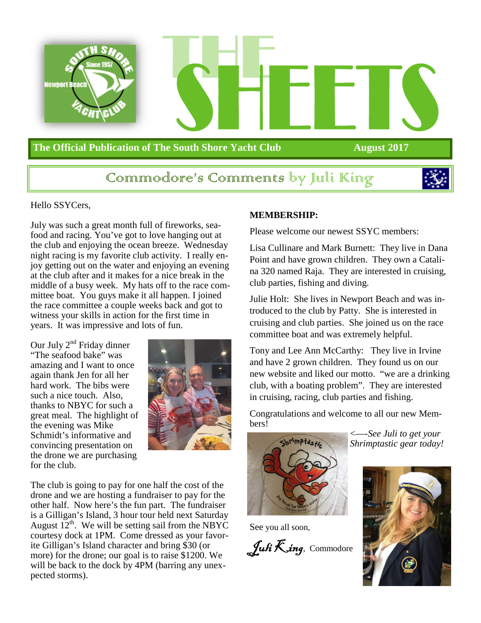

### **The Official Publication of The South Shore Yacht Club August 2017**

### Commmodore's Commments by Juli King



#### Hello SSYCers,

July was such a great month full of fireworks, seafood and racing. You've got to love hanging out at the club and enjoying the ocean breeze. Wednesday night racing is my favorite club activity. I really enjoy getting out on the water and enjoying an evening at the club after and it makes for a nice break in the middle of a busy week. My hats off to the race committee boat. You guys make it all happen. I joined the race committee a couple weeks back and got to witness your skills in action for the first time in years. It was impressive and lots of fun.

Our July  $2<sup>nd</sup>$  Friday dinner "The seafood bake" was amazing and I want to once again thank Jen for all her hard work. The bibs were such a nice touch. Also, thanks to NBYC for such a great meal. The highlight of the evening was Mike Schmidt's informative and convincing presentation on the drone we are purchasing for the club.



The club is going to pay for one half the cost of the drone and we are hosting a fundraiser to pay for the other half. Now here's the fun part. The fundraiser is a Gilligan's Island, 3 hour tour held next Saturday August  $12^{th}$ . We will be setting sail from the NBYC courtesy dock at 1PM. Come dressed as your favorite Gilligan's Island character and bring \$30 (or more) for the drone; our goal is to raise \$1200. We will be back to the dock by 4PM (barring any unexpected storms).

#### **MEMBERSHIP:**

Please welcome our newest SSYC members:

Lisa Cullinare and Mark Burnett: They live in Dana Point and have grown children. They own a Catalina 320 named Raja. They are interested in cruising, club parties, fishing and diving.

Julie Holt: She lives in Newport Beach and was introduced to the club by Patty. She is interested in cruising and club parties. She joined us on the race committee boat and was extremely helpful.

Tony and Lee Ann McCarthy: They live in Irvine and have 2 grown children. They found us on our new website and liked our motto. "we are a drinking club, with a boating problem". They are interested in cruising, racing, club parties and fishing.

Congratulations and welcome to all our new Members!



See you all soon,

Juli  $\mathcal{K}$ ing, Commodore



<—-*See Juli to get your Shrimptastic gear today!*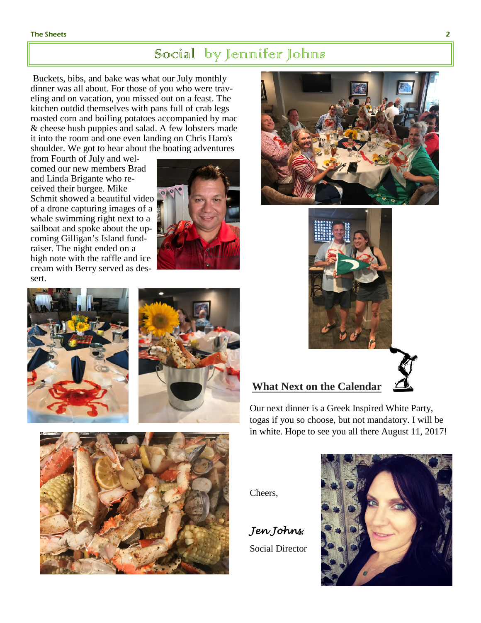#### The Sheets 22 Second Second Second Second Second Second Second Second Second Second Second Second Second Second Second Second Second Second Second Second Second Second Second Second Second Second Second Second Second Secon

### Social by Jennifer Johns

Buckets, bibs, and bake was what our July monthly dinner was all about. For those of you who were traveling and on vacation, you missed out on a feast. The kitchen outdid themselves with pans full of crab legs roasted corn and boiling potatoes accompanied by mac & cheese hush puppies and salad. A few lobsters made it into the room and one even landing on Chris Haro's shoulder. We got to hear about the boating adventures

from Fourth of July and welcomed our new members Brad and Linda Brigante who received their burgee. Mike Schmit showed a beautiful video of a drone capturing images of a whale swimming right next to a sailboat and spoke about the upcoming Gilligan's Island fundraiser. The night ended on a high note with the raffle and ice cream with Berry served as dessert.











### **What Next on the Calendar**

Our next dinner is a Greek Inspired White Party, togas if you so choose, but not mandatory. I will be in white. Hope to see you all there August 11, 2017!



*Jen Johns*, Social Director





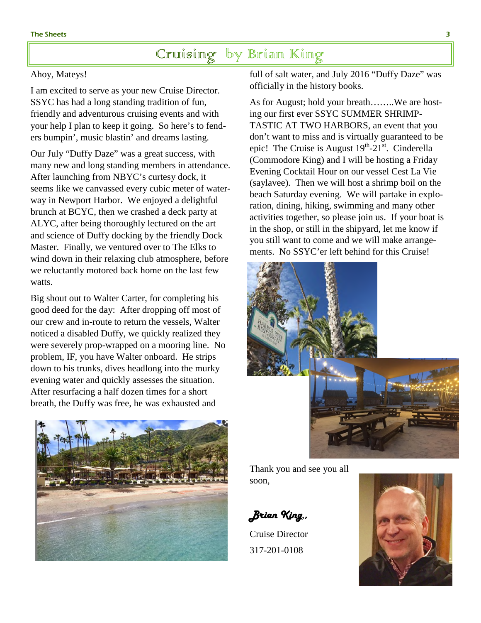### Cruising by Brian King

#### Ahoy, Mateys!

I am excited to serve as your new Cruise Director. SSYC has had a long standing tradition of fun, friendly and adventurous cruising events and with your help I plan to keep it going. So here's to fenders bumpin', music blastin' and dreams lasting.

Our July "Duffy Daze" was a great success, with many new and long standing members in attendance. After launching from NBYC's curtesy dock, it seems like we canvassed every cubic meter of waterway in Newport Harbor. We enjoyed a delightful brunch at BCYC, then we crashed a deck party at ALYC, after being thoroughly lectured on the art and science of Duffy docking by the friendly Dock Master. Finally, we ventured over to The Elks to wind down in their relaxing club atmosphere, before we reluctantly motored back home on the last few watts.

Big shout out to Walter Carter, for completing his good deed for the day: After dropping off most of our crew and in-route to return the vessels, Walter noticed a disabled Duffy, we quickly realized they were severely prop-wrapped on a mooring line. No problem, IF, you have Walter onboard. He strips down to his trunks, dives headlong into the murky evening water and quickly assesses the situation. After resurfacing a half dozen times for a short breath, the Duffy was free, he was exhausted and



full of salt water, and July 2016 "Duffy Daze" was officially in the history books.

As for August; hold your breath……..We are hosting our first ever SSYC SUMMER SHRIMP-TASTIC AT TWO HARBORS, an event that you don't want to miss and is virtually guaranteed to be epic! The Cruise is August  $19^{th}$ - $21^{st}$ . Cinderella (Commodore King) and I will be hosting a Friday Evening Cocktail Hour on our vessel Cest La Vie (saylavee). Then we will host a shrimp boil on the beach Saturday evening. We will partake in exploration, dining, hiking, swimming and many other activities together, so please join us. If your boat is in the shop, or still in the shipyard, let me know if you still want to come and we will make arrangements. No SSYC'er left behind for this Cruise!



Thank you and see you all soon,

*Brian King*,*,* 

Cruise Director 317-201-0108

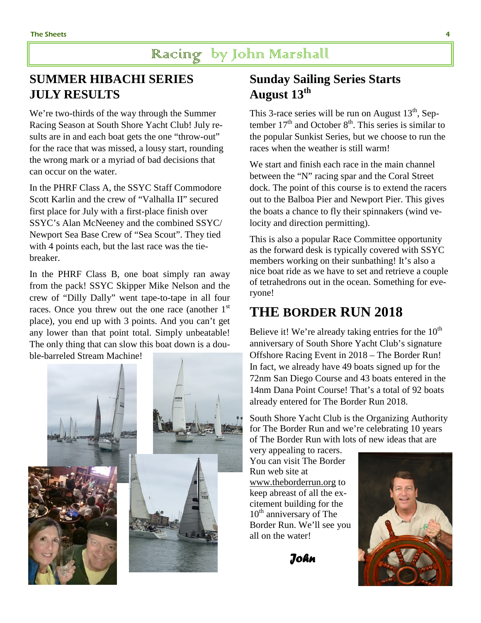### Racing by John Marshall

### **SUMMER HIBACHI SERIES JULY RESULTS**

We're two-thirds of the way through the Summer Racing Season at South Shore Yacht Club! July results are in and each boat gets the one "throw-out" for the race that was missed, a lousy start, rounding the wrong mark or a myriad of bad decisions that can occur on the water.

In the PHRF Class A, the SSYC Staff Commodore Scott Karlin and the crew of "Valhalla II" secured first place for July with a first-place finish over SSYC's Alan McNeeney and the combined SSYC/ Newport Sea Base Crew of "Sea Scout". They tied with 4 points each, but the last race was the tiebreaker.

In the PHRF Class B, one boat simply ran away from the pack! SSYC Skipper Mike Nelson and the crew of "Dilly Dally" went tape-to-tape in all four races. Once you threw out the one race (another  $1<sup>st</sup>$ place), you end up with 3 points. And you can't get any lower than that point total. Simply unbeatable! The only thing that can slow this boat down is a double-barreled Stream Machine!



### **Sunday Sailing Series Starts August 13th**

This 3-race series will be run on August  $13<sup>th</sup>$ , September  $17<sup>th</sup>$  and October  $8<sup>th</sup>$ . This series is similar to the popular Sunkist Series, but we choose to run the races when the weather is still warm!

We start and finish each race in the main channel between the "N" racing spar and the Coral Street dock. The point of this course is to extend the racers out to the Balboa Pier and Newport Pier. This gives the boats a chance to fly their spinnakers (wind velocity and direction permitting).

This is also a popular Race Committee opportunity as the forward desk is typically covered with SSYC members working on their sunbathing! It's also a nice boat ride as we have to set and retrieve a couple of tetrahedrons out in the ocean. Something for everyone!

### **THE BORDER RUN 2018**

Believe it! We're already taking entries for the  $10<sup>th</sup>$ anniversary of South Shore Yacht Club's signature Offshore Racing Event in 2018 – The Border Run! In fact, we already have 49 boats signed up for the 72nm San Diego Course and 43 boats entered in the 14nm Dana Point Course! That's a total of 92 boats already entered for The Border Run 2018.

South Shore Yacht Club is the Organizing Authority for The Border Run and we're celebrating 10 years of The Border Run with lots of new ideas that are

very appealing to racers. You can visit The Border Run web site at www.theborderrun.org to keep abreast of all the excitement building for the  $10<sup>th</sup>$  anniversary of The Border Run. We'll see you all on the water!

 *John*

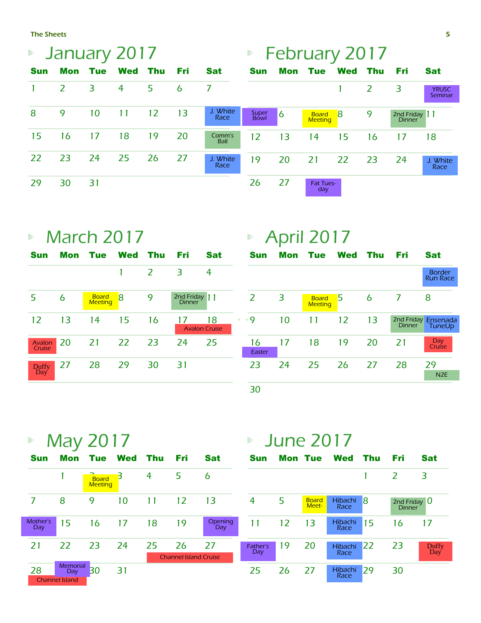The Sheets

| January 2017<br>$\blacktriangleright$ |     |            |                |     |     |                       | Þ             |                | <b>February 2017</b>           |            |                |                                |                         |
|---------------------------------------|-----|------------|----------------|-----|-----|-----------------------|---------------|----------------|--------------------------------|------------|----------------|--------------------------------|-------------------------|
| <b>Sun</b>                            | Mon | <b>Tue</b> | <b>Wed</b>     | Thu | Fri | <b>Sat</b>            | <b>Sun</b>    | Mon            | <b>Tue</b>                     | <b>Wed</b> | Thu            | Fri                            | <b>Sat</b>              |
|                                       | 2   | 3          | $\overline{4}$ | 5   | 6   |                       |               |                |                                |            | $\overline{2}$ | 3                              | <b>YRUSC</b><br>Seminar |
| 8                                     | 9   | 10         | 11             | 12  | 13  | J. White<br>Race      | Super<br>Bowl | $\overline{6}$ | <b>Board</b><br><b>Meeting</b> | -8         | 9              | 2nd Friday 11<br><b>Dinner</b> |                         |
| 15                                    | 16  | 17         | 18             | 19  | 20  | Comm's<br><b>Ball</b> | 12            | 13             | 14                             | 15         | 16             | 17                             | 18                      |
| 22                                    | 23  | 24         | 25             | 26  | 27  | J. White<br>Race      | 19            | 20             | 21                             | 22         | 23             | 24                             | J. White<br>Race        |
| 29                                    | 30  | 31         |                |     |     |                       | 26            | 27             | <b>Fat Tues-</b><br>day        |            |                |                                |                         |

## **March 2017**

| <b>Sun</b>          |    | Mon Tue Wed Thu                |    |    | Fri                  | Sat |           |
|---------------------|----|--------------------------------|----|----|----------------------|-----|-----------|
|                     |    |                                | 1  | 2  | 3                    | 4   |           |
| 5                   | 6  | <b>Board</b><br><b>Meeting</b> | 8  | 9  | 2nd Friday 11        |     |           |
| 12                  | 13 | 14                             | 15 | 16 | <b>Avalon Cruise</b> | 18  | $\bullet$ |
| Avalon<br>Cruise    | 20 | <b>21</b>                      | 22 | 23 | -24                  | 25  |           |
| <b>Duffy</b><br>Day | 27 | 28                             | 29 | 30 | 31                   |     |           |

# April 2017

| <b>Sun</b>   | Mon | <b>Tue</b>                     | <b>Wed</b> | Thu | Fri           | <b>Sat</b>                       |
|--------------|-----|--------------------------------|------------|-----|---------------|----------------------------------|
|              |     |                                |            |     |               | <b>Border</b><br><b>Run Race</b> |
| 2            | 3   | <b>Board</b><br><b>Meeting</b> | 5          | 6   | 7             | 8                                |
| ۰9           | 10  | 11                             | 12         | 13  | <b>Dinner</b> | 2nd Friday Ensenada<br>TuneUp    |
| 16<br>Easter | 17  | 18                             | 19         | 20  | 21            | Day<br>Cruíse                    |
| 23           | 24  | 25                             | 26         | 27  | 28            | 29<br>N <sub>2E</sub>            |
| 30           |     |                                |            |     |               |                                  |

|                 |                                           | May 2017                       |             |     |                                    |                | Þ               | <b>June 2017</b> |                       |                        |     |                                      |              |
|-----------------|-------------------------------------------|--------------------------------|-------------|-----|------------------------------------|----------------|-----------------|------------------|-----------------------|------------------------|-----|--------------------------------------|--------------|
| <b>Sun</b>      | Mon                                       | <b>Tue</b>                     | <b>Wed</b>  | Thu | Fri                                | <b>Sat</b>     | <b>Sun</b>      |                  | <b>Mon Tue</b>        | <b>Wed</b>             | Thu | Fri                                  | <b>Sat</b>   |
|                 |                                           | <b>Board</b><br><b>Meeting</b> | $\mathsf B$ | 4   | 5                                  | 6              |                 |                  |                       |                        |     | $\overline{2}$                       | 3            |
| 7               | 8                                         | 9                              | 10          | 11  | 12                                 | 13             | $\overline{4}$  | 5                | <b>Board</b><br>Meet- | Hibachi<br>Race        | 18  | 2nd Friday $\bf{0}$<br><b>Dinner</b> |              |
| Mother's<br>Day | 15                                        | 16                             | 17          | 18  | 19                                 | Opening<br>Day | 11              | 12               | 13                    | Hibachi<br>Race        | 15  | 16                                   | 17           |
| 21              | 22                                        | 23                             | 24          | 25  | 26<br><b>Channel Island Cruise</b> | 27             | Father's<br>Day | 19               | 20                    | <b>Hibachi</b><br>Race | 22  | 23                                   | Duffy<br>Day |
| 28              | Memorial<br>Day.<br><b>Channel Island</b> | 30                             | 31          |     |                                    |                | 25              | 26               | 27                    | Hibachi<br>Race        | 29  | 30                                   |              |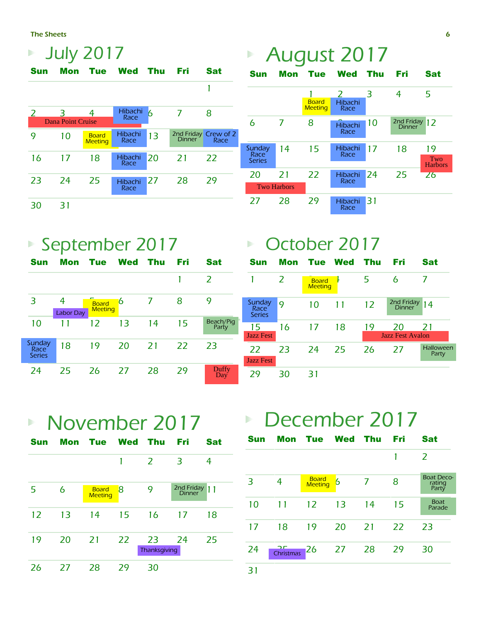The Sheets

| <b>July 2017</b> |                          |                                |                 |    |               |                              |  |
|------------------|--------------------------|--------------------------------|-----------------|----|---------------|------------------------------|--|
| Sun              | Mon                      | Tue                            | Wed Thu         |    | Fri           | Sat                          |  |
|                  |                          |                                |                 |    |               | 1                            |  |
| $\mathcal{L}$    | <b>Dana Point Cruise</b> | 4                              | Hibachi<br>Race | 6  | 7             | 8                            |  |
| 9                | 10                       | <b>Board</b><br><b>Meeting</b> | Hibachi<br>Race | 13 | <b>Dinner</b> | 2nd Friday Crew of 2<br>Race |  |
| 16               | 17                       | 18                             | Hibachi<br>Race | 20 | 21            | 22                           |  |
| 23               | 24                       | 25                             | Hibachi<br>Race | 27 | 28            | 29                           |  |
| 30               | 31                       |                                |                 |    |               |                              |  |

# ■ September 2017

| Sun                             | Mon                   | <b>Tue</b>                     | Wed | Thu | Fri | Sat                 |
|---------------------------------|-----------------------|--------------------------------|-----|-----|-----|---------------------|
|                                 |                       |                                |     |     |     | $\mathcal{L}$       |
| 3                               | 4<br><b>Labor Day</b> | <b>Board</b><br><b>Meeting</b> | 6   | 7   | 8   | 9                   |
| 10                              | 11                    | 12                             | 13  | 14  | 15  | Beach/Pig<br>Party  |
| Sunday<br>Race<br><b>Series</b> | 18                    | 19                             | 20  | 21  | 22  | 23                  |
| 24                              | 25                    | 26                             | 27  | 28  | 29  | <b>Duffy</b><br>Day |

#### Sun Mon Tue Wed Thu Fri Sat 1 2 3 4 5 6 7 8 Hibachi 10 <sup>2nd Friday</sup> 12 unday 14 15 Hibachi 17 18 19 20 21 22 Hibachi 24 25 26 **Board Meeting** Hibachi **Race** Hibachi **Race** Hibachi **Race** Hibachi **Race Sunday** Race Series Two Harbors Two Harbors

August 2017

 $\begin{array}{c} \hline \end{array}$ 

27 28 29 Hibachi 31

#### October 2017 Þ Sun Mon Tue Wed Thu Fri Sat 1 2 **Board** 5 6 7 Sunday Sunday  $\frac{9}{\text{Race}}$  10 11 12  $\frac{2 \text{nd Friday}}{\text{Dinner}}$  14 Race Series 15 16 17 18 19 20 21 Jazz Fest Jazz Fest Avalon Halloween 22 23 24 25 26 27 Halld **Party** Jazz Fest 29 30 31

Race

 November 2017  $\begin{array}{c} \hline \end{array}$ 

| Sun | <b>Mon</b> Tue |                                | Wed | Thu                | Fri                  | Sat |
|-----|----------------|--------------------------------|-----|--------------------|----------------------|-----|
|     |                |                                | 1   | 2                  | 3                    | 4   |
| 5   | 6              | <b>Board</b><br><b>Meeting</b> | 8   | 9                  | 2nd Friday<br>Dinner | 11  |
| 12  | 13             | 14                             | 15  | 16                 | 17                   | 18  |
| 19  | 20             | 21                             | 22  | 23<br>Thanksgiving | 24                   | 25  |
| 26  | 27             | 28                             | 29  | 30                 |                      |     |

# December 2017

| <b>Sun</b> | Mon       | Tue Wed                        |    | Thu | Fri | Sat                                  |
|------------|-----------|--------------------------------|----|-----|-----|--------------------------------------|
|            |           |                                |    |     |     | 2                                    |
| 3          | 4         | <b>Board</b><br><b>Meeting</b> | 6  | 7   | 8   | <b>Boat Deco-</b><br>rating<br>Party |
| 10         | 11        | 12                             | 13 | 14  | 15  | <b>Boat</b><br>Parade                |
| 17         | 18        | 19                             | 20 | 21  | 22  | 23                                   |
| 24         | Christmas | 26                             | 27 | 28  | 29  | 30                                   |
| 31         |           |                                |    |     |     |                                      |